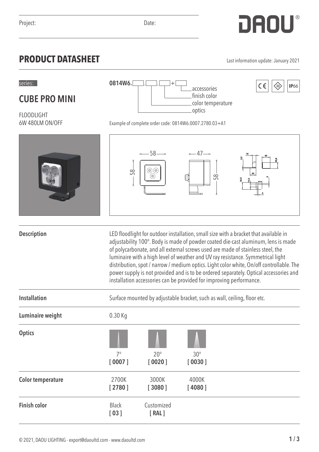## **PRODUCT DATASHEET** Last information update: January 2021

**CUBE PRO MINI**

FLOODLIGHT

6W 480LM ON/OFF

|                          | 58                   | $-58$ --<br>$\circledcirc$<br>(⊚<br>(⊚)                                                                                                                                                                                                                                                                                                                                                                                                                                                                                                                                                                     | $-47-$<br>Œ<br>58    |  |  |  |
|--------------------------|----------------------|-------------------------------------------------------------------------------------------------------------------------------------------------------------------------------------------------------------------------------------------------------------------------------------------------------------------------------------------------------------------------------------------------------------------------------------------------------------------------------------------------------------------------------------------------------------------------------------------------------------|----------------------|--|--|--|
| <b>Description</b>       |                      | LED floodlight for outdoor installation, small size with a bracket that available in<br>adjustability 100°. Body is made of powder coated die-cast aluminum, lens is made<br>of polycarbonate, and all external screws used are made of stainless steel, the<br>luminaire with a high level of weather and UV ray resistance. Symmetrical light<br>distribution, spot / narrow / medium optics. Light color white, On/off controllable. The<br>power supply is not provided and is to be ordered separately. Optical accessories and<br>installation accessories can be provided for improving performance. |                      |  |  |  |
| <b>Installation</b>      |                      | Surface mounted by adjustable bracket, such as wall, ceiling, floor etc.                                                                                                                                                                                                                                                                                                                                                                                                                                                                                                                                    |                      |  |  |  |
| Luminaire weight         | 0.30 Kg              |                                                                                                                                                                                                                                                                                                                                                                                                                                                                                                                                                                                                             |                      |  |  |  |
| <b>Optics</b>            | $7^\circ$<br>[0007]  | $20^{\circ}$<br>[0020]                                                                                                                                                                                                                                                                                                                                                                                                                                                                                                                                                                                      | $30^\circ$<br>[0030] |  |  |  |
| <b>Color temperature</b> | 2700K<br>[2780]      | 3000K<br>[3080]                                                                                                                                                                                                                                                                                                                                                                                                                                                                                                                                                                                             | 4000K<br>[4080]      |  |  |  |
| <b>Finish color</b>      | <b>Black</b><br>[03] | Customized<br>[RAL]                                                                                                                                                                                                                                                                                                                                                                                                                                                                                                                                                                                         |                      |  |  |  |



color temperature

optics

**0814W6.**

Example of complete order code: 0814W6.0007.2780.03+A1

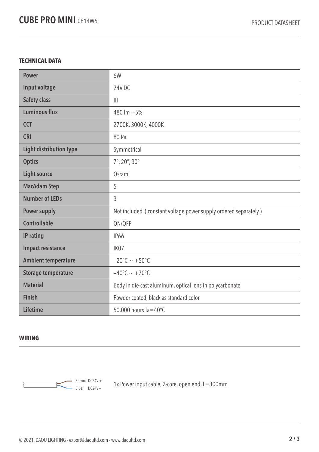## **TECHNICAL DATA**

| <b>Power</b>                   | 6W                                                              |  |
|--------------------------------|-----------------------------------------------------------------|--|
| Input voltage                  | 24V <sub>DC</sub>                                               |  |
| <b>Safety class</b>            | $\mathbb{H}$                                                    |  |
| <b>Luminous flux</b>           | 480 lm ±5%                                                      |  |
| <b>CCT</b>                     | 2700K, 3000K, 4000K                                             |  |
| <b>CRI</b>                     | 80 Ra                                                           |  |
| <b>Light distribution type</b> | Symmetrical                                                     |  |
| <b>Optics</b>                  | $7^{\circ}$ , 20 $^{\circ}$ , 30 $^{\circ}$                     |  |
| <b>Light source</b>            | Osram                                                           |  |
| <b>MacAdam Step</b>            | 5                                                               |  |
| <b>Number of LEDs</b>          | 3                                                               |  |
| <b>Power supply</b>            | Not included (constant voltage power supply ordered separately) |  |
| <b>Controllable</b>            | ON/OFF                                                          |  |
| IP rating                      | <b>IP66</b>                                                     |  |
| <b>Impact resistance</b>       | IK07                                                            |  |
| <b>Ambient temperature</b>     | $-20^{\circ}$ C ~ +50°C                                         |  |
| <b>Storage temperature</b>     | $-40^{\circ}$ C ~ +70°C                                         |  |
| <b>Material</b>                | Body in die-cast aluminum, optical lens in polycarbonate        |  |
| <b>Finish</b>                  | Powder coated, black as standard color                          |  |
| <b>Lifetime</b>                | 50,000 hours Ta=40°C                                            |  |

## **WIRING**



 $\frac{1}{2}$  Brown: DC24V +  $\frac{1}{2}$  are nower input cable, 2-core, open end, L=300mm